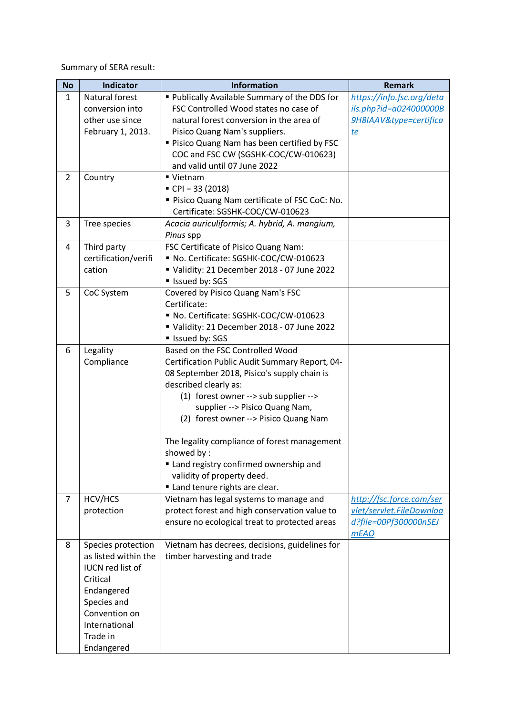Summary of SERA result:

| <b>No</b>      | <b>Indicator</b>                           | <b>Information</b>                             | <b>Remark</b>             |
|----------------|--------------------------------------------|------------------------------------------------|---------------------------|
| $\mathbf{1}$   | Natural forest                             | " Publically Available Summary of the DDS for  | https://info.fsc.org/deta |
|                | conversion into                            | FSC Controlled Wood states no case of          | ils.php?id=a024000000B    |
|                | other use since                            | natural forest conversion in the area of       | 9H8IAAV&type=certifica    |
|                | February 1, 2013.                          | Pisico Quang Nam's suppliers.                  | te                        |
|                |                                            | " Pisico Quang Nam has been certified by FSC   |                           |
|                |                                            | COC and FSC CW (SGSHK-COC/CW-010623)           |                           |
|                |                                            | and valid until 07 June 2022                   |                           |
| $\overline{2}$ | Country                                    | ■ Vietnam                                      |                           |
|                |                                            | $\blacksquare$ CPI = 33 (2018)                 |                           |
|                |                                            | " Pisico Quang Nam certificate of FSC CoC: No. |                           |
|                |                                            | Certificate: SGSHK-COC/CW-010623               |                           |
| 3              | Tree species                               | Acacia auriculiformis; A. hybrid, A. mangium,  |                           |
|                |                                            | Pinus spp                                      |                           |
| 4              | Third party                                | FSC Certificate of Pisico Quang Nam:           |                           |
|                | certification/verifi                       | No. Certificate: SGSHK-COC/CW-010623           |                           |
|                | cation                                     | Validity: 21 December 2018 - 07 June 2022      |                           |
|                |                                            | Issued by: SGS                                 |                           |
| 5              | CoC System                                 | Covered by Pisico Quang Nam's FSC              |                           |
|                |                                            | Certificate:                                   |                           |
|                |                                            | No. Certificate: SGSHK-COC/CW-010623           |                           |
|                |                                            | Validity: 21 December 2018 - 07 June 2022      |                           |
|                |                                            | Issued by: SGS                                 |                           |
| 6              | Legality                                   | Based on the FSC Controlled Wood               |                           |
|                | Compliance                                 | Certification Public Audit Summary Report, 04- |                           |
|                |                                            | 08 September 2018, Pisico's supply chain is    |                           |
|                |                                            | described clearly as:                          |                           |
|                |                                            | (1) forest owner --> sub supplier -->          |                           |
|                |                                            | supplier --> Pisico Quang Nam,                 |                           |
|                |                                            | (2) forest owner --> Pisico Quang Nam          |                           |
|                |                                            |                                                |                           |
|                |                                            | The legality compliance of forest management   |                           |
|                |                                            | showed by:                                     |                           |
|                |                                            | Land registry confirmed ownership and          |                           |
|                |                                            | validity of property deed.                     |                           |
|                |                                            | " Land tenure rights are clear.                |                           |
| $\overline{7}$ | HCV/HCS                                    | Vietnam has legal systems to manage and        | http://fsc.force.com/ser  |
|                | protection                                 | protect forest and high conservation value to  | vlet/servlet.FileDownloa  |
|                |                                            | ensure no ecological treat to protected areas  | d?file=00Pf300000nSEJ     |
|                |                                            |                                                | <b>mEAO</b>               |
| 8              | Species protection<br>as listed within the | Vietnam has decrees, decisions, guidelines for |                           |
|                |                                            | timber harvesting and trade                    |                           |
|                | <b>IUCN red list of</b>                    |                                                |                           |
|                | Critical                                   |                                                |                           |
|                | Endangered                                 |                                                |                           |
|                | Species and                                |                                                |                           |
|                | Convention on                              |                                                |                           |
|                | International                              |                                                |                           |
|                | Trade in                                   |                                                |                           |
|                | Endangered                                 |                                                |                           |